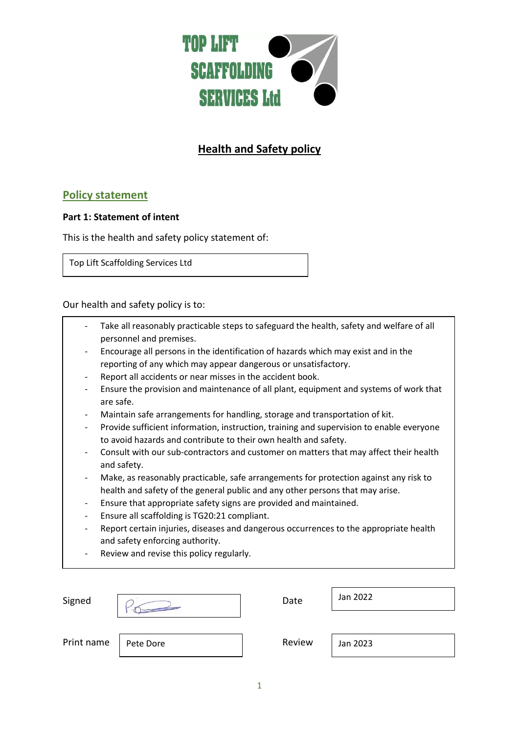

# **Health and Safety policy**

# **Policy statement**

### **Part 1: Statement of intent**

This is the health and safety policy statement of:

Top Lift Scaffolding Services Ltd

Our health and safety policy is to:

- Take all reasonably practicable steps to safeguard the health, safety and welfare of all personnel and premises.
- Encourage all persons in the identification of hazards which may exist and in the reporting of any which may appear dangerous or unsatisfactory.
- Report all accidents or near misses in the accident book.
- Ensure the provision and maintenance of all plant, equipment and systems of work that are safe.
- Maintain safe arrangements for handling, storage and transportation of kit.
- Provide sufficient information, instruction, training and supervision to enable everyone to avoid hazards and contribute to their own health and safety.
- Consult with our sub-contractors and customer on matters that may affect their health and safety.
- Make, as reasonably practicable, safe arrangements for protection against any risk to health and safety of the general public and any other persons that may arise.
- Ensure that appropriate safety signs are provided and maintained.
- Ensure all scaffolding is TG20:21 compliant.
- Report certain injuries, diseases and dangerous occurrences to the appropriate health and safety enforcing authority.
- Review and revise this policy regularly.

| Signed     |           | Date   | Jan 2022 |
|------------|-----------|--------|----------|
| Print name | Pete Dore | Review | Jan 2023 |
|            |           |        |          |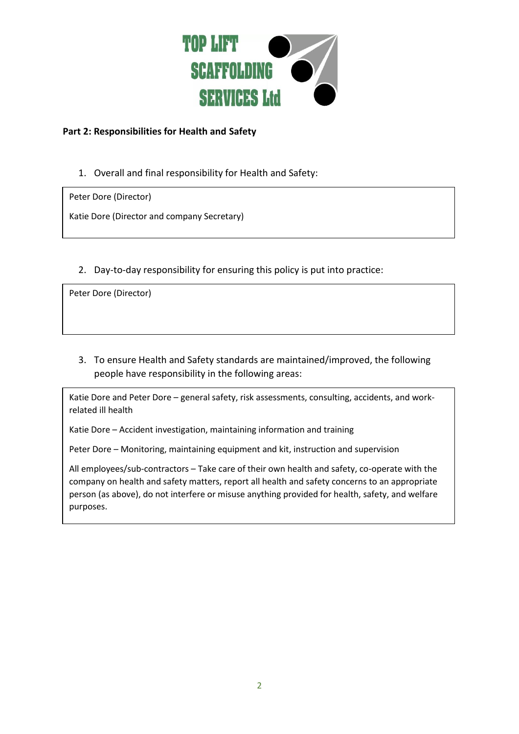

# **Part 2: Responsibilities for Health and Safety**

1. Overall and final responsibility for Health and Safety:

Peter Dore (Director)

Katie Dore (Director and company Secretary)

2. Day-to-day responsibility for ensuring this policy is put into practice:

Peter Dore (Director)

3. To ensure Health and Safety standards are maintained/improved, the following people have responsibility in the following areas:

Katie Dore and Peter Dore – general safety, risk assessments, consulting, accidents, and workrelated ill health

Katie Dore – Accident investigation, maintaining information and training

Peter Dore – Monitoring, maintaining equipment and kit, instruction and supervision

All employees/sub-contractors – Take care of their own health and safety, co-operate with the company on health and safety matters, report all health and safety concerns to an appropriate person (as above), do not interfere or misuse anything provided for health, safety, and welfare purposes.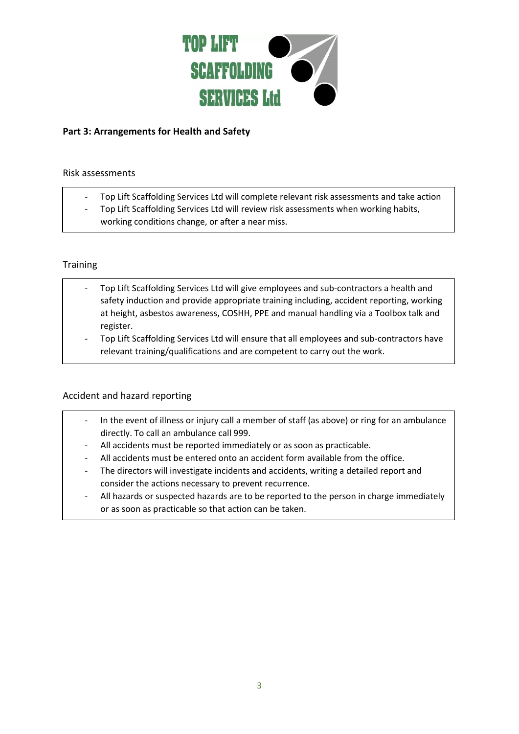

# **Part 3: Arrangements for Health and Safety**

#### Risk assessments

- Top Lift Scaffolding Services Ltd will complete relevant risk assessments and take action
- Top Lift Scaffolding Services Ltd will review risk assessments when working habits, working conditions change, or after a near miss.

#### **Training**

- Top Lift Scaffolding Services Ltd will give employees and sub-contractors a health and safety induction and provide appropriate training including, accident reporting, working at height, asbestos awareness, COSHH, PPE and manual handling via a Toolbox talk and register.
- Top Lift Scaffolding Services Ltd will ensure that all employees and sub-contractors have relevant training/qualifications and are competent to carry out the work.

#### Accident and hazard reporting

- In the event of illness or injury call a member of staff (as above) or ring for an ambulance directly. To call an ambulance call 999.
- All accidents must be reported immediately or as soon as practicable.
- All accidents must be entered onto an accident form available from the office.
- The directors will investigate incidents and accidents, writing a detailed report and consider the actions necessary to prevent recurrence.
- All hazards or suspected hazards are to be reported to the person in charge immediately or as soon as practicable so that action can be taken.